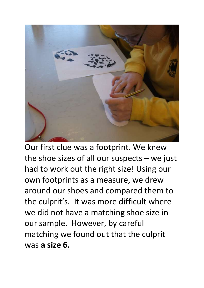

Our first clue was a footprint. We knew the shoe sizes of all our suspects  $-$  we just had to work out the right size! Using our own footprints as a measure, we drew around our shoes and compared them to the culprit's. It was more difficult where we did not have a matching shoe size in our sample. However, by careful matching we found out that the culprit was **a size 6.**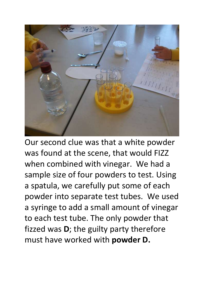

Our second clue was that a white powder was found at the scene, that would FIZZ when combined with vinegar. We had a sample size of four powders to test. Using a spatula, we carefully put some of each powder into separate test tubes. We used a syringe to add a small amount of vinegar to each test tube. The only powder that fizzed was **D**; the guilty party therefore must have worked with **powder D.**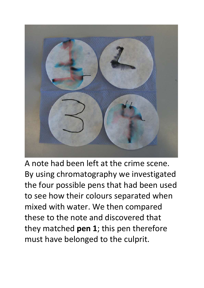

A note had been left at the crime scene. By using chromatography we investigated the four possible pens that had been used to see how their colours separated when mixed with water. We then compared these to the note and discovered that they matched **pen 1**; this pen therefore must have belonged to the culprit.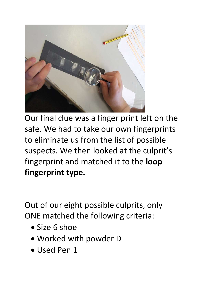

Our final clue was a finger print left on the safe. We had to take our own fingerprints to eliminate us from the list of possible suspects. We then looked at the culprit's fingerprint and matched it to the **loop fingerprint type.**

Out of our eight possible culprits, only ONE matched the following criteria:

- Size 6 shoe
- Worked with powder D
- Used Pen 1